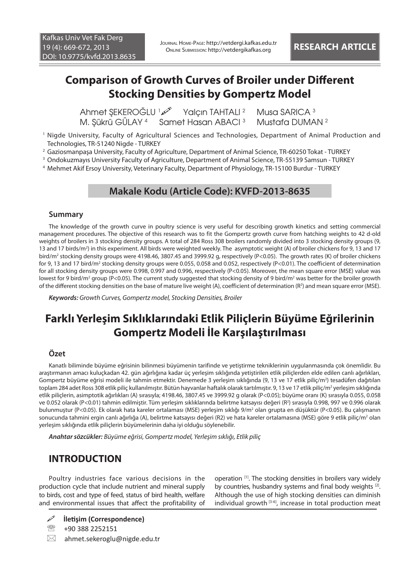## **Comparison of Growth Curves of Broiler under Different Stocking Densities by Gompertz Model**

 Ahmet ŞEKEROĞLU <sup>1</sup> Yalçın TAHTALI <sup>2</sup> Musa SARICA<sup>3</sup> M. Şükrü GÜLAY <sup>4</sup> Samet Hasan ABACI <sup>3</sup> Mustafa DUMAN <sup>2</sup>

- 1 Nigde University, Faculty of Agricultural Sciences and Technologies, Department of Animal Production and Technologies, TR-51240 Nigde - TURKEY
- 2 Gaziosmanpaşa University, Faculty of Agriculture, Department of Animal Science, TR-60250 Tokat TURKEY
- 3 Ondokuzmayıs University Faculty of Agriculture, Department of Animal Science, TR-55139 Samsun TURKEY

4 Mehmet Akif Ersoy University, Veterinary Faculty, Department of Physiology, TR-15100 Burdur - TURKEY

### **Makale Kodu (Article Code): KVFD-2013-8635**

#### **Summary**

The knowledge of the growth curve in poultry science is very useful for describing growth kinetics and setting commercial management procedures. The objective of this research was to fit the Gompertz growth curve from hatching weights to 42 d-old weights of broilers in 3 stocking density groups. A total of 284 Ross 308 broilers randomly divided into 3 stocking density groups (9, 13 and 17 birds/m<sup>2</sup>) in this experiment. All birds were weighted weekly. The asymptotic weight (A) of broiler chickens for 9, 13 and 17 bird/m<sup>2</sup> stocking density groups were 4198.46, 3807.45 and 3999.92 g, respectively (P<0.05). The growth rates (K) of broiler chickens for 9, 13 and 17 bird/m<sup>2</sup> stocking density groups were 0.055, 0.058 and 0.052, respectively (P<0.01). The coefficient of determination for all stocking density groups were 0.998, 0.997 and 0.996, respectively (P<0.05). Moreover, the mean square error (MSE) value was lowest for 9 bird/m<sup>2</sup> group (P<0.05). The current study suggested that stocking density of 9 bird/m<sup>2</sup> was better for the broiler growth of the different stocking densities on the base of mature live weight (A), coefficient of determination (R2 ) and mean square error (MSE).

*Keywords: Growth Curves, Gompertz model, Stocking Densities, Broiler*

# **Farklı Yerleşim Sıklıklarındaki Etlik Piliçlerin Büyüme Eğrilerinin Gompertz Modeli İle Karşılaştırılması**

#### **Özet**

Kanatlı biliminde büyüme eğrisinin bilinmesi büyümenin tarifinde ve yetiştirme tekniklerinin uygulanmasında çok önemlidir. Bu araştırmanın amacı kuluçkadan 42. gün ağırlığına kadar üç yerleşim sıklığında yetiştirilen etlik piliçlerden elde edilen canlı ağırlıkları, Gompertz büyüme eğrisi modeli ile tahmin etmektir. Denemede 3 yerleşim sıklığında (9, 13 ve 17 etlik piliç/m<sup>2</sup>) tesadüfen dağıtılan toplam 284 adet Ross 308 etlik piliç kullanılmıştır. Bütün hayvanlar haftalık olarak tartılmıştır. 9, 13 ve 17 etlik piliç/m<sup>2</sup> yerleşim sıklığında etlik piliçlerin, asimptotik ağırlıkları (A) sırasıyla; 4198.46, 3807.45 ve 3999.92 g olarak (P<0.05); büyüme oranı (K) sırasıyla 0.055, 0.058 ve 0.052 olarak (P<0.01) tahmin edilmiştir. Tüm yerleşim sıklıklarında belirtme katsayısı değeri (R2 ) sırasıyla 0.998, 997 ve 0.996 olarak bulunmuştur (P<0.05). Ek olarak hata kareler ortalaması (MSE) yerleşim sıklığı 9/m<sup>2</sup> olan grupta en düşüktür (P<0.05). Bu çalışmanın sonucunda tahmini ergin canlı ağırlığa (A), belirtme katsayısı değeri (R2) ve hata kareler ortalamasına (MSE) göre 9 etlik piliç/m<sup>2</sup> olan yerleşim sıklığında etlik piliçlerin büyümelerinin daha iyi olduğu söylenebilir.

*Anahtar sözcükler: Büyüme eğrisi, Gompertz model, Yerleşim sıklığı, Etlik piliç*

### **INTRODUCTION**

Poultry industries face various decisions in the production cycle that include nutrient and mineral supply to birds, cost and type of feed, status of bird health, welfare and environmental issues that affect the profitability of operation [1]. The stocking densities in broilers vary widely by countries, husbandry systems and final body weights [2]. Although the use of high stocking densities can diminish individual growth  $[3-6]$ , increase in total production meat

**İletişim (Correspondence)**

图 +90 388 2252151

 $\boxtimes$  ahmet.sekeroglu@nigde.edu.tr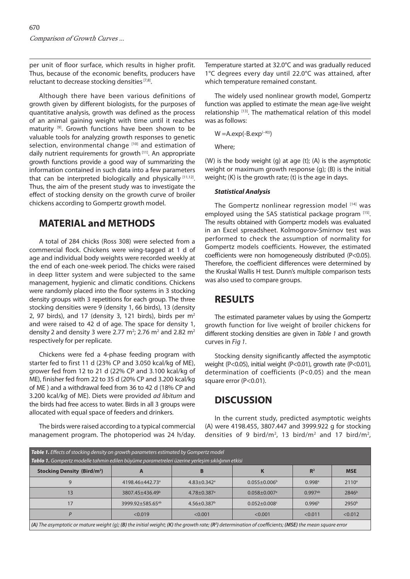per unit of floor surface, which results in higher profit. Thus, because of the economic benefits, producers have reluctant to decrease stocking densities [7,8].

Although there have been various definitions of growth given by different biologists, for the purposes of quantitative analysis, growth was defined as the process of an animal gaining weight with time until it reaches maturity [9]. Growth functions have been shown to be valuable tools for analyzing growth responses to genetic selection, environmental change [10] and estimation of daily nutrient requirements for growth [11]. An appropriate growth functions provide a good way of summarizing the information contained in such data into a few parameters that can be interpreted biologically and physically [11,12]. Thus, the aim of the present study was to investigate the effect of stocking density on the growth curve of broiler chickens according to Gompertz growth model.

### **MATERIAL and METHODS**

A total of 284 chicks (Ross 308) were selected from a commercial flock. Chickens were wing-tagged at 1 d of age and individual body weights were recorded weekly at the end of each one-week period. The chicks were raised in deep litter system and were subjected to the same management, hygienic and climatic conditions. Chickens were randomly placed into the floor systems in 3 stocking density groups with 3 repetitions for each group. The three stocking densities were 9 (density 1, 66 birds), 13 (density 2, 97 birds), and 17 (density 3, 121 birds), birds per  $m<sup>2</sup>$ and were raised to 42 d of age. The space for density 1, density 2 and density 3 were 2.77 m<sup>2</sup>; 2.76 m<sup>2</sup> and 2.82 m<sup>2</sup> respectively for per replicate.

Chickens were fed a 4-phase feeding program with starter fed to first 11 d (23% CP and 3.050 kcal/kg of ME), grower fed from 12 to 21 d (22% CP and 3.100 kcal/kg of ME), finisher fed from 22 to 35 d (20% CP and 3.200 kcal/kg of ME ) and a withdrawal feed from 36 to 42 d (18% CP and 3.200 kcal/kg of ME). Diets were provided *ad libitum* and the birds had free access to water. Birds in all 3 groups were allocated with equal space of feeders and drinkers.

The birds were raised according to a typical commercial management program. The photoperiod was 24 h/day. Temperature started at 32.0°C and was gradually reduced 1°C degrees every day until 22.0°C was attained, after which temperature remained constant.

The widely used nonlinear growth model, Gompertz function was applied to estimate the mean age-live weight relationship [13]. The mathematical relation of this model was as follows:

$$
W = A.\exp(-B.\exp^{(-Kt)})
$$

Where;

(W) is the body weight (g) at age (t); (A) is the asymptotic weight or maximum growth response (g); (B) is the initial weight; (K) is the growth rate; (t) is the age in days.

#### *Statistical Analysis*

The Gompertz nonlinear regression model [14] was employed using the SAS statistical package program [15]. The results obtained with Gompertz models was evaluated in an Excel spreadsheet. Kolmogorov-Smirnov test was performed to check the assumption of normality for Gompertz models coefficients. However, the estimated coefficients were non homogeneously distributed (P<0.05). Therefore, the coefficient differences were determined by the Kruskal Wallis H test. Dunn's multiple comparison tests was also used to compare groups.

#### **RESULTS**

The estimated parameter values by using the Gompertz growth function for live weight of broiler chickens for different stocking densities are given in *Table 1* and growth curves in *Fig 1*.

Stocking density significantly affected the asymptotic weight (P<0.05), initial weight (P<0.01), growth rate (P<0.01), determination of coefficients (P<0.05) and the mean square error (P<0.01).

## **DISCUSSION**

In the current study, predicted asymptotic weights (A) were 4198.455, 3807.447 and 3999.922 g for stocking densities of 9 bird/m<sup>2</sup>, 13 bird/m<sup>2</sup> and 17 bird/m<sup>2</sup>,

| <b>Table 1.</b> Effects of stocking density on growth parameters estimated by Gompertz model<br>Tablo 1. Gompertz modelle tahmin edilen büyüme parametreleri üzerine yerleşim sıklığının etkisi |                              |                               |                                |                       |                   |
|-------------------------------------------------------------------------------------------------------------------------------------------------------------------------------------------------|------------------------------|-------------------------------|--------------------------------|-----------------------|-------------------|
| <b>Stocking Density (Bird/m<sup>2</sup>)</b>                                                                                                                                                    | A                            |                               |                                | R <sup>2</sup>        | <b>MSE</b>        |
|                                                                                                                                                                                                 | 4198.46+442.73 <sup>a</sup>  | $4.83 \pm 0.342$ <sup>a</sup> | $0.055 \pm 0.006^b$            | $0.998$ <sup>a</sup>  | 2110 <sup>a</sup> |
| 13                                                                                                                                                                                              | 3807.45+436.49 <sup>b</sup>  | $4.78 \pm 0.387$ <sup>a</sup> | $0.058 \pm 0.007$ <sup>a</sup> | $0.997$ <sup>ab</sup> | 2846 <sup>b</sup> |
| 17                                                                                                                                                                                              | 3999.92+585.65 <sup>ab</sup> | $4.56 \pm 0.387^b$            | $0.052 \pm 0.008$ c            | 0.996 <sup>b</sup>    | 2950 <sup>b</sup> |
| D                                                                                                                                                                                               | < 0.019                      | < 0.001                       | < 0.001                        | < 0.011               | < 0.012           |
| (A) The asymptotic or mature weight (q); (B) the initial weight; (K) the growth rate; ( $R^2$ ) determination of coefficients; (MSE) the mean square error                                      |                              |                               |                                |                       |                   |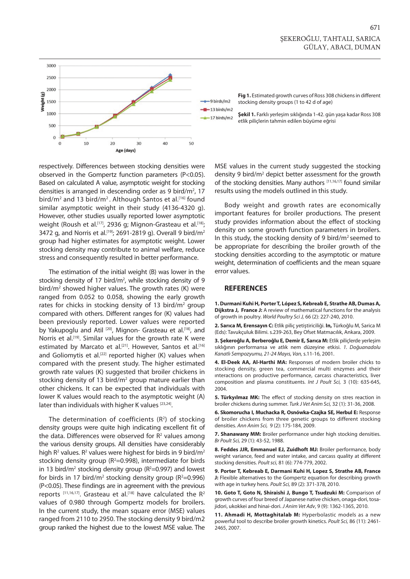

respectively. Differences between stocking densities were observed in the Gompertz function parameters (P<0.05). Based on calculated A value, asymptotic weight for stocking densities is arranged in descending order as 9 bird/m<sup>2</sup>, 17 bird/m<sup>2</sup> and 13 bird/m<sup>2</sup>. Although Santos et al.<sup>[16]</sup> found similar asymptotic weight in their study (4136-4320 g). However, other studies usually reported lower asymptotic weight (Roush et al.<sup>[17]</sup>, 2936 g; Mignon-Grasteau et al.<sup>[18]</sup>; 3472 g, and Norris et al.<sup>[19]</sup>; 2691-2819 g). Overall 9 bird/m<sup>2</sup> group had higher estimates for asymptotic weight. Lower stocking density may contribute to animal welfare, reduce stress and consequently resulted in better performance.

The estimation of the initial weight (B) was lower in the stocking density of 17 bird/m<sup>2</sup>, while stocking density of 9 bird/m2 showed higher values. The growth rates (K) were ranged from 0.052 to 0.058, showing the early growth rates for chicks in stocking density of 13 bird/m<sup>2</sup> group compared with others. Different ranges for (K) values had been previously reported. Lower values were reported by Yakupoglu and Atil<sup>[20]</sup>, Mignon- Grasteau et al.<sup>[18]</sup>, and Norris et al.<sup>[19]</sup>. Similar values for the growth rate K were estimated by Marcato et al.<sup>[21]</sup>. However, Santos et al.<sup>[16]</sup> and Goliomytis et al.<sup>[22]</sup> reported higher (K) values when compared with the present study. The higher estimated growth rate values (K) suggested that broiler chickens in stocking density of 13 bird/m<sup>2</sup> group mature earlier than other chickens. It can be expected that individuals with lower K values would reach to the asymptotic weight (A) later than individuals with higher K values [23,24].

The determination of coefficients  $(R^2)$  of stocking density groups were quite high indicating excellent fit of the data. Differences were observed for  $R<sup>2</sup>$  values among the various density groups. All densities have considerably high R<sup>2</sup> values. R<sup>2</sup> values were highest for birds in 9 bird/m<sup>2</sup> stocking density group ( $R^2=0.998$ ), intermediate for birds in 13 bird/ $m^2$  stocking density group ( $R^2$ =0.997) and lowest for birds in 17 bird/m<sup>2</sup> stocking density group ( $R^2$ =0.996) (P<0.05). These findings are in agreement with the previous reports  $[11,16,17]$ . Grasteau et al.<sup>[18]</sup> have calculated the  $R^2$ values of 0.980 through Gompertz models for broilers. In the current study, the mean square error (MSE) values ranged from 2110 to 2950. The stocking density 9 bird/m2 group ranked the highest due to the lowest MSE value. The

MSE values in the current study suggested the stocking density 9 bird/m<sup>2</sup> depict better assessment for the growth of the stocking densities. Many authors [11,16,17] found similar results using the models outlined in this study.

Body weight and growth rates are economically important features for broiler productions. The present study provides information about the effect of stocking density on some growth function parameters in broilers. In this study, the stocking density of 9 bird/m2 seemed to be appropriate for describing the broiler growth of the stocking densities according to the asymptotic or mature weight, determination of coefficients and the mean square error values.

#### **REFERENCES**

**1. Durmani Kuhi H, Porter T, López S, Kebreab E, Strathe AB, Dumas A, Dijkstra J, France J:** A review of mathematical functions for the analysis of growth in poultry. *World Poultry Sci J,* 66 (2): 227-240, 2010.

**2. Sarıca M, Erensayın C:** Etlik piliç yetiştiriciliği. **In,** Türkoğlu M, Sarica M (Eds): Tavukçuluk Bilimi. s.239-263, Bey Ofset Matmacılık, Ankara, 2009.

**3. Şekeroğlu A, Berberoğlu E, Demir E, Sarıca M:** Etlik piliçlerde yerleşim sıklığının performansa ve atlık nem düzeyine etkisi. *1. Doğuanadolu Kanatlı Sempozyumu, 21-24 Mayıs, Van,* s.11-16, 2001.

**4. El-Deek AA, Al-Harthi MA:** Responses of modern broiler chicks to stocking density, green tea, commercial multi enzymes and their ınteractions on productive performance, carcass characteristics, liver composition and plasma constituents. *Int J Poult Sci,* 3 (10): 635-645, 2004.

**5. Türkyılmaz MK:** The effect of stocking density on stres reaction in broiler chickens during summer. *Turk J Vet Anim Sci,* 32 (1): 31-36, 2008.

**6. Skomorucha I, Muchacka R, Osnówka-Czajka SE, Herbul E:** Response of broiler chickens from three genetic groups to different stocking densities. *Ann Anim Sci,* 9 (2): 175-184, 2009.

**7. Shanawany MM:** Broiler performance under high stocking densities. *Br Poult Sci,* 29 (1): 43-52, 1988.

**8. Feddes JJR, Emmanuel EJ, Zuidhoft MJ:** Broiler performance, body weight variance, feed and water intake, and carcass quality at different stocking densities. *Poult sci,* 81 (6): 774-779, 2002.

**9. Porter T, Kebreab E, Darmani Kuhi H, Lopez S, Strathe AB, France J:** Flexible alternatives to the Gompertz equation for describing growth with age in turkey hens. *Poult Sci,* 89 (2): 371-378, 2010.

**10. Goto T, Goto N, Shiraishi J, Bungo T, Tsudzuki M:** Comparison of growth curves of four breed of Japanese native chicken, onaga-dori, tosajidori, ukokkei and hinai-dori. *J Anim Vet Adv*, 9 (9): 1362-1365, 2010.

**11. Ahmadi H, Mottaghitalab M:** Hyperbolastic models as a new powerful tool to describe broiler growth kinetics. *Poult Sci,* 86 (11): 2461- 2465, 2007.